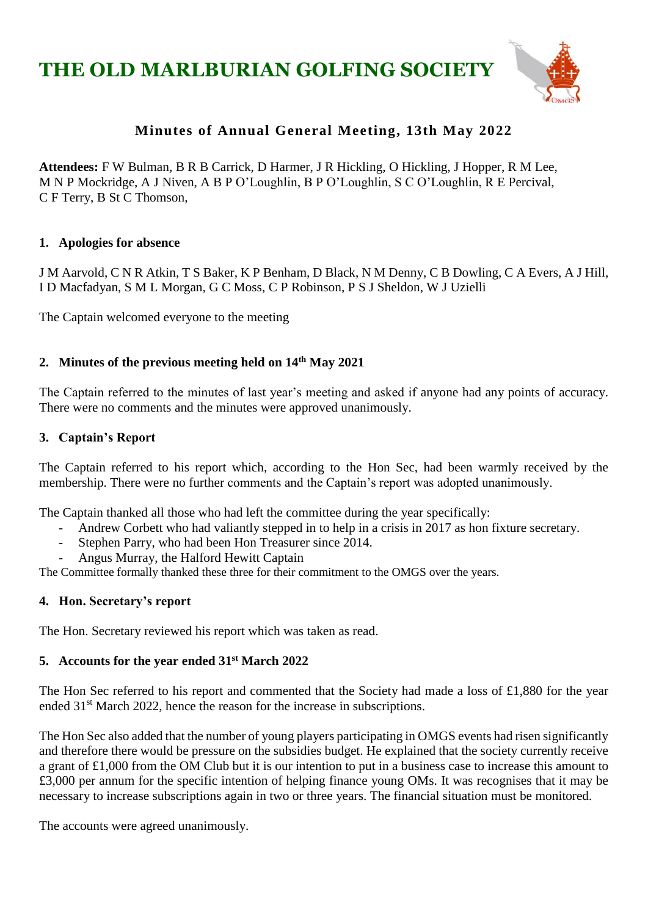**THE OLD MARLBURIAN GOLFING SOCIETY**



# **Minutes of Annual General Meeting, 13th May 2022**

**Attendees:** F W Bulman, B R B Carrick, D Harmer, J R Hickling, O Hickling, J Hopper, R M Lee, M N P Mockridge, A J Niven, A B P O'Loughlin, B P O'Loughlin, S C O'Loughlin, R E Percival, C F Terry, B St C Thomson,

#### **1. Apologies for absence**

J M Aarvold, C N R Atkin, T S Baker, K P Benham, D Black, N M Denny, C B Dowling, C A Evers, A J Hill, I D Macfadyan, S M L Morgan, G C Moss, C P Robinson, P S J Sheldon, W J Uzielli

The Captain welcomed everyone to the meeting

# **2. Minutes of the previous meeting held on 14th May 2021**

The Captain referred to the minutes of last year's meeting and asked if anyone had any points of accuracy. There were no comments and the minutes were approved unanimously.

# **3. Captain's Report**

The Captain referred to his report which, according to the Hon Sec, had been warmly received by the membership. There were no further comments and the Captain's report was adopted unanimously.

The Captain thanked all those who had left the committee during the year specifically:

- Andrew Corbett who had valiantly stepped in to help in a crisis in 2017 as hon fixture secretary.
- Stephen Parry, who had been Hon Treasurer since 2014.
- Angus Murray, the Halford Hewitt Captain

The Committee formally thanked these three for their commitment to the OMGS over the years.

# **4. Hon. Secretary's report**

The Hon. Secretary reviewed his report which was taken as read.

# **5. Accounts for the year ended 31st March 2022**

The Hon Sec referred to his report and commented that the Society had made a loss of £1,880 for the year ended 31<sup>st</sup> March 2022, hence the reason for the increase in subscriptions.

The Hon Sec also added that the number of young players participating in OMGS events had risen significantly and therefore there would be pressure on the subsidies budget. He explained that the society currently receive a grant of £1,000 from the OM Club but it is our intention to put in a business case to increase this amount to £3,000 per annum for the specific intention of helping finance young OMs. It was recognises that it may be necessary to increase subscriptions again in two or three years. The financial situation must be monitored.

The accounts were agreed unanimously.